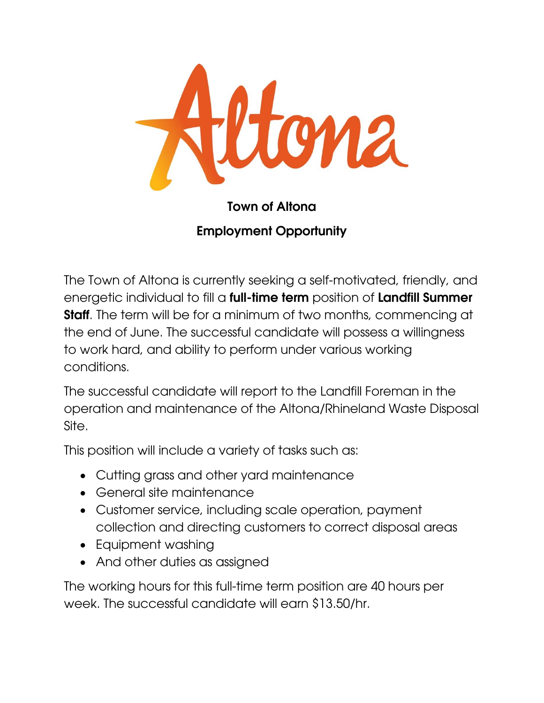

## Town of Altona Employment Opportunity

The Town of Altona is currently seeking a self-motivated, friendly, and energetic individual to fill a **full-time term** position of **Landfill Summer Staff**. The term will be for a minimum of two months, commencing at the end of June. The successful candidate will possess a willingness to work hard, and ability to perform under various working conditions.

The successful candidate will report to the Landfill Foreman in the operation and maintenance of the Altona/Rhineland Waste Disposal Site.

This position will include a variety of tasks such as:

- Cutting grass and other yard maintenance
- General site maintenance
- Customer service, including scale operation, payment collection and directing customers to correct disposal areas
- Equipment washing
- And other duties as assigned

The working hours for this full-time term position are 40 hours per week. The successful candidate will earn \$13.50/hr.